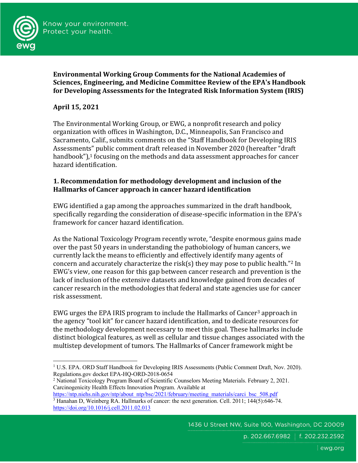

**Environmental Working Group Comments for the National Academies of Sciences, Engineering, and Medicine Committee Review of the EPA's Handbook for Developing Assessments for the Integrated Risk Information System (IRIS)** 

## **April 15, 2021**

The Environmental Working Group, or EWG, a nonprofit research and policy organization with offices in Washington, D.C., Minneapolis, San Francisco and Sacramento, Calif., submits comments on the "Staff Handbook for Developing IRIS Assessments" public comment draft released in November 2020 (hereafter "draft handbook"), $1$  focusing on the methods and data assessment approaches for cancer hazard identification.

## **1. Recommendation for methodology development and inclusion of the Hallmarks of Cancer approach in cancer hazard identification**

EWG identified a gap among the approaches summarized in the draft handbook, specifically regarding the consideration of disease-specific information in the EPA's framework for cancer hazard identification.

As the National Toxicology Program recently wrote, "despite enormous gains made over the past 50 years in understanding the pathobiology of human cancers, we currently lack the means to efficiently and effectively identify many agents of concern and accurately characterize the risk(s) they may pose to public health."<sup>2</sup> In EWG's view, one reason for this gap between cancer research and prevention is the lack of inclusion of the extensive datasets and knowledge gained from decades of cancer research in the methodologies that federal and state agencies use for cancer risk assessment. 

EWG urges the EPA IRIS program to include the Hallmarks of Cancer<sup>3</sup> approach in the agency "tool kit" for cancer hazard identification, and to dedicate resources for the methodology development necessary to meet this goal. These hallmarks include distinct biological features, as well as cellular and tissue changes associated with the multistep development of tumors. The Hallmarks of Cancer framework might be

<sup>&</sup>lt;sup>1</sup> U.S. EPA. ORD Staff Handbook for Developing IRIS Assessments (Public Comment Draft, Nov. 2020). Regulations.gov docket EPA-HQ-ORD-2018-0654

<sup>2</sup> National Toxicology Program Board of Scientific Counselors Meeting Materials. February 2, 2021. Carcinogenicity Health Effects Innovation Program. Available at

https://ntp.niehs.nih.gov/ntp/about\_ntp/bsc/2021/february/meeting\_materials/carci\_bsc\_508.pdf <sup>3</sup> Hanahan D, Weinberg RA. Hallmarks of cancer: the next generation. Cell. 2011; 144(5):646-74. https://doi.org/10.1016/j.cell.2011.02.013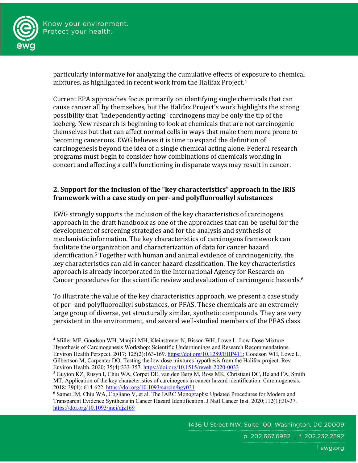

particularly informative for analyzing the cumulative effects of exposure to chemical mixtures, as highlighted in recent work from the Halifax Project.<sup>4</sup>

Current EPA approaches focus primarily on identifying single chemicals that can cause cancer all by themselves, but the Halifax Project's work highlights the strong possibility that "independently acting" carcinogens may be only the tip of the iceberg. New research is beginning to look at chemicals that are not carcinogenic themselves but that can affect normal cells in ways that make them more prone to becoming cancerous. EWG believes it is time to expand the definition of carcinogenesis beyond the idea of a single chemical acting alone. Federal research programs must begin to consider how combinations of chemicals working in concert and affecting a cell's functioning in disparate ways may result in cancer.

## **2.** Support for the inclusion of the "key characteristics" approach in the IRIS **framework with a case study on per- and polyfluoroalkyl substances**

EWG strongly supports the inclusion of the key characteristics of carcinogens approach in the draft handbook as one of the approaches that can be useful for the development of screening strategies and for the analysis and synthesis of mechanistic information. The key characteristics of carcinogens framework can facilitate the organization and characterization of data for cancer hazard identification.<sup>5</sup> Together with human and animal evidence of carcinogenicity, the key characteristics can aid in cancer hazard classification. The key characteristics approach is already incorporated in the International Agency for Research on Cancer procedures for the scientific review and evaluation of carcinogenic hazards.<sup>6</sup>

To illustrate the value of the key characteristics approach, we present a case study of per- and polyfluoroalkyl substances, or PFAS. These chemicals are an extremely large group of diverse, yet structurally similar, synthetic compounds. They are very persistent in the environment, and several well-studied members of the PFAS class

<sup>4</sup> Miller MF, Goodson WH, Manjili MH, Kleinstreuer N, Bisson WH, Lowe L. Low-Dose Mixture Hypothesis of Carcinogenesis Workshop: Scientific Underpinnings and Research Recommendations. Environ Health Perspect. 2017; 125(2):163-169. https://doi.org/10.1289/EHP411; Goodson WH, Lowe L, Gilbertson M, Carpenter DO. Testing the low dose mixtures hypothesis from the Halifax project. Rev Environ Health. 2020; 35(4):333-357. https://doi.org/10.1515/reveh-2020-0033

<sup>5</sup> Guyton KZ, Rusyn I, Chiu WA, Corpet DE, van den Berg M, Ross MK, Christiani DC, Beland FA, Smith MT. Application of the key characteristics of carcinogens in cancer hazard identification. Carcinogenesis. 2018; 39(4): 614-622. https://doi.org/10.1093/carcin/bgy031

<sup>6</sup> Samet JM, Chiu WA, Cogliano V, et al. The IARC Monographs: Updated Procedures for Modern and Transparent Evidence Synthesis in Cancer Hazard Identification. J Natl Cancer Inst. 2020;112(1):30-37. https://doi.org/10.1093/jnci/djz169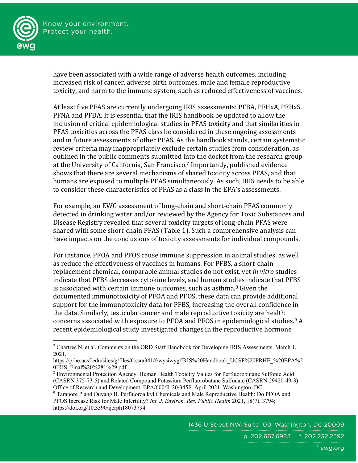



have been associated with a wide range of adverse health outcomes, including increased risk of cancer, adverse birth outcomes, male and female reproductive toxicity, and harm to the immune system, such as reduced effectiveness of vaccines.

At least five PFAS are currently undergoing IRIS assessments: PFBA, PFHxA, PFHxS, PFNA and PFDA. It is essential that the IRIS handbook be updated to allow the inclusion of critical epidemiological studies in PFAS toxicity and that similarities in PFAS toxicities across the PFAS class be considered in these ongoing assessments and in future assessments of other PFAS. As the handbook stands, certain systematic review criteria may inappropriately exclude certain studies from consideration, as outlined in the public comments submitted into the docket from the research group at the University of California, San Francisco.<sup>7</sup> Importantly, published evidence shows that there are several mechanisms of shared toxicity across PFAS, and that humans are exposed to multiple PFAS simultaneously. As such, IRIS needs to be able to consider these characteristics of PFAS as a class in the EPA's assessments.

For example, an EWG assessment of long-chain and short-chain PFAS commonly detected in drinking water and/or reviewed by the Agency for Toxic Substances and Disease Registry revealed that several toxicity targets of long-chain PFAS were shared with some short-chain PFAS (Table 1). Such a comprehensive analysis can have impacts on the conclusions of toxicity assessments for individual compounds.

For instance, PFOA and PFOS cause immune suppression in animal studies, as well as reduce the effectiveness of vaccines in humans. For PFBS, a short-chain replacement chemical, comparable animal studies do not exist, yet *in vitro* studies indicate that PFBS decreases cytokine levels, and human studies indicate that PFBS is associated with certain immune outcomes, such as asthma.<sup>8</sup> Given the documented immunotoxicity of PFOA and PFOS, these data can provide additional support for the immunotoxicity data for PFBS, increasing the overall confidence in the data. Similarly, testicular cancer and male reproductive toxicity are health concerns associated with exposure to PFOA and PFOS in epidemiological studies.<sup>9</sup> A recent epidemiological study investigated changes in the reproductive hormone

<sup>&</sup>lt;sup>7</sup> Chartres N. et al. Comments on the ORD Staff Handbook for Developing IRIS Assessments. March 1, 2021.

https://prhe.ucsf.edu/sites/g/files/tkssra341/f/wysiwyg/IRIS%20Handbook\_UCSF%20PRHE\_%20EPA%2 0IRIS\_Final%20%281%29.pdf

<sup>8</sup> Environmental Protection Agency. Human Health Toxicity Values for Perfluorobutane Sulfonic Acid (CASRN 375-73-5) and Related Compound Potassium Perfluorobutane Sulfonate (CASRN 29420-49-3). Office of Research and Development. EPA/600/R-20/345F. April 2021. Washington, DC.

<sup>9</sup> Tarapore P and Ouyang B. Perfluoroalkyl Chemicals and Male Reproductive Health: Do PFOA and PFOS Increase Risk for Male Infertility? *Int. J. Environ. Res. Public Health* 2021, 18(7), 3794; https://doi.org/10.3390/ijerph18073794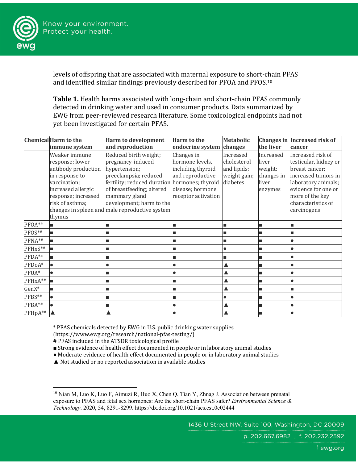

levels of offspring that are associated with maternal exposure to short-chain PFAS and identified similar findings previously described for PFOA and PFOS.<sup>10</sup>

**Table 1.** Health harms associated with long-chain and short-chain PFAS commonly detected in drinking water and used in consumer products. Data summarized by EWG from peer-reviewed research literature. Some toxicological endpoints had not yet been investigated for certain PFAS.

|                   | <b>Chemical Harm to the</b>                                                                                                                                         | <b>Harm to development</b>                                                                                                                                                                                                                                        | <b>Harm</b> to the                                                                                                | <b>Metabolic</b>                                                    |                                                                 | Changes in Increased risk of                                                                                                                                                              |
|-------------------|---------------------------------------------------------------------------------------------------------------------------------------------------------------------|-------------------------------------------------------------------------------------------------------------------------------------------------------------------------------------------------------------------------------------------------------------------|-------------------------------------------------------------------------------------------------------------------|---------------------------------------------------------------------|-----------------------------------------------------------------|-------------------------------------------------------------------------------------------------------------------------------------------------------------------------------------------|
|                   | immune system                                                                                                                                                       | and reproduction                                                                                                                                                                                                                                                  | endocrine system                                                                                                  | changes                                                             | the liver                                                       | cancer                                                                                                                                                                                    |
|                   | Weaker immune<br>response; lower<br>antibody production<br>in response to<br>vaccination;<br>increased allergic<br>response; increased<br>risk of asthma;<br>thymus | Reduced birth weight;<br>pregnancy-induced<br>hypertension;<br>preeclampsia; reduced<br>fertility; reduced duration hormones; thyroid<br>of breastfeeding; altered<br>mammary gland<br>development; harm to the<br>changes in spleen and male reproductive system | Changes in<br>hormone levels,<br>including thyroid<br>and reproductive<br>disease; hormone<br>receptor activation | Increased<br>cholesterol<br>and lipids;<br>weight gain;<br>diabetes | Increased<br>liver<br>weight;<br>changes in<br>liver<br>enzymes | Increased risk of<br>testicular, kidney or<br>breast cancer;<br>increased tumors in<br>laboratory animals;<br>evidence for one or<br>more of the key<br>characteristics of<br>carcinogens |
| PFOA*#            | Iш                                                                                                                                                                  |                                                                                                                                                                                                                                                                   |                                                                                                                   |                                                                     |                                                                 |                                                                                                                                                                                           |
| PFOS*#            | ıп                                                                                                                                                                  |                                                                                                                                                                                                                                                                   | ■                                                                                                                 |                                                                     |                                                                 |                                                                                                                                                                                           |
| PFNA*#            | ш                                                                                                                                                                   |                                                                                                                                                                                                                                                                   |                                                                                                                   |                                                                     |                                                                 |                                                                                                                                                                                           |
| PFHxS*#           | Iш                                                                                                                                                                  |                                                                                                                                                                                                                                                                   |                                                                                                                   |                                                                     |                                                                 |                                                                                                                                                                                           |
| PFDA*#            | Iш                                                                                                                                                                  |                                                                                                                                                                                                                                                                   |                                                                                                                   |                                                                     |                                                                 |                                                                                                                                                                                           |
| PFDoA#            | I۰                                                                                                                                                                  |                                                                                                                                                                                                                                                                   |                                                                                                                   |                                                                     |                                                                 |                                                                                                                                                                                           |
| PFUA <sup>#</sup> | $\bullet$                                                                                                                                                           |                                                                                                                                                                                                                                                                   |                                                                                                                   |                                                                     |                                                                 |                                                                                                                                                                                           |
| PFHxA*#           | lm.                                                                                                                                                                 |                                                                                                                                                                                                                                                                   |                                                                                                                   |                                                                     |                                                                 |                                                                                                                                                                                           |
| GenX*             | $\blacksquare$                                                                                                                                                      |                                                                                                                                                                                                                                                                   |                                                                                                                   |                                                                     |                                                                 |                                                                                                                                                                                           |
| PFBS*#            | $\bullet$                                                                                                                                                           |                                                                                                                                                                                                                                                                   |                                                                                                                   |                                                                     |                                                                 |                                                                                                                                                                                           |
| PFBA*#            | $\bullet$                                                                                                                                                           |                                                                                                                                                                                                                                                                   | $\bullet$                                                                                                         |                                                                     |                                                                 |                                                                                                                                                                                           |
| $PFHpA^{**}$      |                                                                                                                                                                     |                                                                                                                                                                                                                                                                   | $\bullet$                                                                                                         |                                                                     |                                                                 |                                                                                                                                                                                           |

\* PFAS chemicals detected by EWG in U.S. public drinking water supplies 

(https://www.ewg.org/research/national-pfas-testing/)

# PFAS included in the ATSDR toxicological profile

■ Strong evidence of health effect documented in people or in laboratory animal studies

. Moderate evidence of health effect documented in people or in laboratory animal studies

 $\blacktriangle$  Not studied or no reported association in available studies

p. 202.667.6982 | f. 202.232.2592

<sup>&</sup>lt;sup>10</sup> Nian M, Luo K, Luo F, Aimuzi R, Huo X, Chen Q, Tian Y, Zhnag J. Association between prenatal exposure to PFAS and fetal sex hormones: Are the short-chain PFAS safer? *Environmental Science & Technology*. 2020, 54, 8291-8299. https://dx.doi.org/10.1021/acs.est.0c02444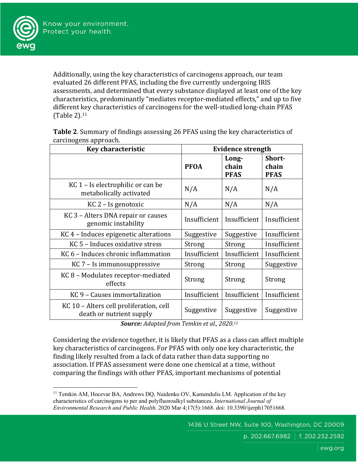

Additionally, using the key characteristics of carcinogens approach, our team evaluated 26 different PFAS, including the five currently undergoing IRIS assessments, and determined that every substance displayed at least one of the key characteristics, predominantly "mediates receptor-mediated effects," and up to five different key characteristics of carcinogens for the well-studied long-chain PFAS  $(Table 2).<sup>11</sup>$ 

| Table 2. Summary of findings assessing 26 PFAS using the key characteristics of |
|---------------------------------------------------------------------------------|
| carcinogens approach.                                                           |

| Key characteristic                                                  | <b>Evidence strength</b> |                               |                                |  |
|---------------------------------------------------------------------|--------------------------|-------------------------------|--------------------------------|--|
|                                                                     | <b>PFOA</b>              | Long-<br>chain<br><b>PFAS</b> | Short-<br>chain<br><b>PFAS</b> |  |
| KC 1 – Is electrophilic or can be<br>metabolically activated        | N/A                      | N/A                           | N/A                            |  |
| $KC 2 - Is genotoxic$                                               | N/A                      | N/A                           | N/A                            |  |
| KC 3 - Alters DNA repair or causes<br>genomic instability           | Insufficient             | Insufficient                  | Insufficient                   |  |
| KC 4 - Induces epigenetic alterations                               | Suggestive               | Suggestive                    | Insufficient                   |  |
| KC 5 - Induces oxidative stress                                     | Strong                   | Strong                        | Insufficient                   |  |
| KC 6 - Induces chronic inflammation                                 | Insufficient             | Insufficient                  | Insufficient                   |  |
| KC 7 – Is immunosuppressive                                         | Strong                   | <b>Strong</b>                 | Suggestive                     |  |
| KC 8 - Modulates receptor-mediated<br>effects                       | Strong                   | Strong                        | Strong                         |  |
| KC 9 - Causes immortalization                                       | Insufficient             | Insufficient                  | Insufficient                   |  |
| KC 10 - Alters cell proliferation, cell<br>death or nutrient supply | Suggestive               | Suggestive                    | Suggestive                     |  |

Source: Adapted from Temkin et al., 2020.<sup>11</sup>

Considering the evidence together, it is likely that PFAS as a class can affect multiple key characteristics of carcinogens. For PFAS with only one key characteristic, the finding likely resulted from a lack of data rather than data supporting no association. If PFAS assessment were done one chemical at a time, without comparing the findings with other PFAS, important mechanisms of potential

<sup>&</sup>lt;sup>11</sup> Temkin AM, Hocevar BA, Andrews DQ, Naidenko OV, Kamendulis LM. Application of the key characteristics of carcinogens to per and polyfluoroalkyl substances. *International Journal of Environmental Research and Public Health.* 2020 Mar 4;17(5):1668. doi: 10.3390/ijerph17051668.